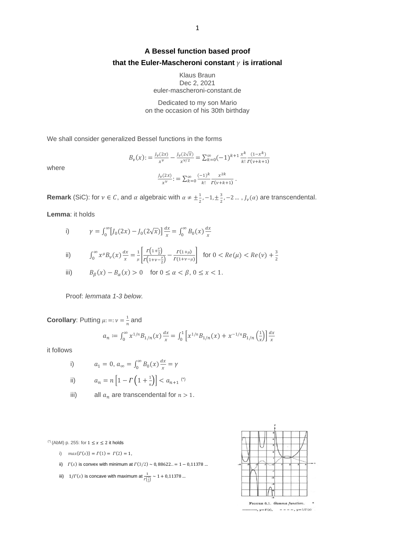## **A Bessel function based proof**  that the Euler-Mascheroni constant  $\gamma$  is irrational

Klaus Braun Dec 2, 2021 euler-mascheroni-constant.de

Dedicated to my son Mario on the occasion of his 30th birthday

We shall consider generalized Bessel functions in the forms

$$
B_{\nu}(x) := \frac{J_{\nu}(2x)}{x^{\nu}} - \frac{J_{\nu}(2\sqrt{x})}{x^{\nu/2}} = \sum_{k=0}^{\infty} (-1)^{k+1} \frac{x^{k}}{k!} \frac{(1-x^{k})}{\Gamma(\nu+k+1)}
$$

$$
\frac{J_{\nu}(2x)}{x^{\nu}} := \sum_{k=0}^{\infty} \frac{(-1)^{k}}{k!} \frac{x^{2k}}{\Gamma(\nu+k+1)}.
$$

where

**Remark** (SiC): for 
$$
v \in C
$$
, and  $\alpha$  algebraic with  $\alpha \neq \pm \frac{1}{2}, -1, \pm \frac{3}{2}, -2, ..., J_v(\alpha)$  are transcendental.

**Lemma**: it holds

i) 
$$
\gamma = \int_0^\infty [J_0(2x) - J_0(2\sqrt{x})] \frac{dx}{x} = \int_0^\infty B_0(x) \frac{dx}{x}
$$

ii) 
$$
\int_0^\infty x^\mu B_\nu(x) \frac{dx}{x} = \frac{1}{\mu} \left[ \frac{r(1+\frac{\mu}{2})}{r(1+\nu-\frac{\mu}{2})} - \frac{r(1+\mu)}{r(1+\nu-\mu)} \right] \text{ for } 0 < Re(\mu) < Re(\nu) + \frac{3}{2}
$$

iii) 
$$
B_{\beta}(x) - B_{\alpha}(x) > 0 \quad \text{for } 0 \le \alpha < \beta, \ 0 \le x < 1.
$$

Proof: *lemmata 1-3 below.*

**Corollary:** Putting 
$$
\mu
$$
: =:  $\nu = \frac{1}{n}$  and

$$
a_n := \int_0^\infty x^{1/n} B_{1/n}(x) \frac{dx}{x} = \int_0^1 \left[ x^{1/n} B_{1/n}(x) + x^{-1/n} B_{1/n} \left( \frac{1}{x} \right) \right] \frac{dx}{x}
$$

it follows

i) 
$$
a_1 = 0, a_{\infty} = \int_0^{\infty} B_0(x) \frac{dx}{x} = \gamma
$$

ii) 
$$
a_n = n \left[ 1 - \Gamma \left( 1 + \frac{1}{n} \right) \right] < a_{n+1}
$$
 (\*)

iii) all  $a_n$  are transcendental for  $n > 1$ .

<sup>(\*)</sup> (AbM) p. 255: for  $1 \le x \le 2$  it holds

- i)  $max{r(x)} = r(1) = r(2) = 1,$
- ii)  $\Gamma(x)$  is convex with minimum at  $\Gamma(3/2) \sim 0.88622.. = 1 0.11378...$
- iii)  $1/\Gamma(x)$  is concave with maximum at  $\frac{1}{\Gamma(\frac{2}{2})} \sim 1 + 0.11378$  ...

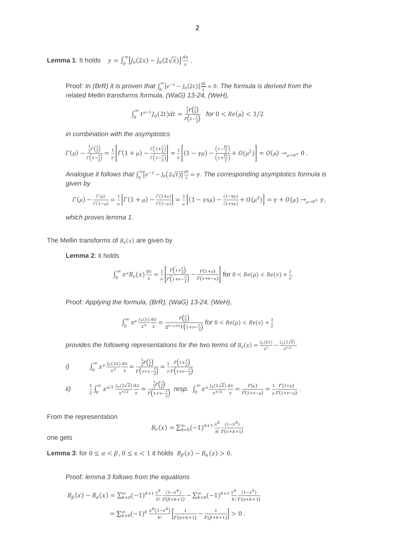**Lemma 1**: It holds  $\gamma = \int_0^\infty [J_0(2x) - J_0(2\sqrt{x})] \frac{dx}{x}$  $\chi$ ∞  $\int_0^{\infty} [J_0(2x) - J_0(2\sqrt{x})] \frac{dx}{x}.$ 

> Proof: *In (BrR)* it is proven that  $\int_0^\infty [e^{-t} - J_0(2t)]$ 0  $dt$  $\frac{dE}{dt} = 0$ . The formula is derived from the *related Mellin transforms formula, (WaG) 13-24, (WeH),*

$$
\int_0^\infty t^{\mu-1} J_0(2t) dt = \frac{\frac{\mu}{2} r(\frac{\mu}{2})}{r(1-\frac{\mu}{2})} \quad \text{for } 0 < Re(\mu) < 3/2
$$

*in combination with the asymptotics*

$$
\Gamma(\mu) - \frac{\frac{1}{2}r(\frac{\mu}{2})}{r(1-\frac{\mu}{2})} = \frac{1}{\mu} \left[ \Gamma(1+\mu) - \frac{r(1+\frac{\mu}{2})}{r(1-\frac{\mu}{2})} \right] = \frac{1}{\mu} \left[ (1-\gamma\mu) - \frac{(1-\frac{\gamma\mu}{2})}{(1+\frac{\gamma\mu}{2})} + O(\mu^2) \right] = O(\mu) \to_{\mu \to 0^+} 0.
$$

*Analogue it follows that*  $\int_0^\infty [e^{-t} - J_0(2\sqrt{t})]$ 0  $dt$  $\frac{dt}{t} = \gamma$ . The corresponding asymptotics formula is *given by*

$$
\Gamma(\mu) - \frac{\Gamma(\mu)}{\Gamma(1-\mu)} = \frac{1}{\mu} \Big[ \Gamma(1+\mu) - \frac{\Gamma(1+\mu)}{\Gamma(1-\mu)} \Big] = \frac{1}{\mu} \Big[ (1 - \gamma s \mu) - \frac{(1-\gamma \mu)}{(1+\gamma \mu)} + O(\mu^2) \Big] = \gamma + O(\mu) \to_{\mu \to 0^+} \gamma,
$$

*which proves lemma 1.*

The Mellin transforms of  $B_\nu(x)$  are given by

**Lemma 2**: it holds

$$
\int_0^\infty x^\mu B_\nu(x) \frac{dx}{x} = \frac{1}{\mu} \left[ \frac{r \left( 1 + \frac{\mu}{2} \right)}{r \left( 1 + \nu - \frac{\mu}{2} \right)} - \frac{r \left( 1 + \mu \right)}{r \left( 1 + \nu - \mu \right)} \right] \text{ for } 0 < Re(\mu) < Re(\nu) + \frac{3}{2}.
$$

Proof*: Applying the formula, (BrR), (WaG) 13-24, (WeH),* 

$$
\int_0^\infty x^{\mu} \frac{J_{\nu}(x)}{x^{\nu}} \frac{dx}{x} = \frac{\Gamma\left(\frac{\mu}{2}\right)}{2^{\nu-\mu+1}\Gamma\left(1+\nu-\frac{\mu}{2}\right)} \text{ for } 0 < Re(\mu) < Re(\nu) + \frac{3}{2}
$$

provides the following representations for the two terms of  $B_\nu(x) = \frac{J_\nu(2x)}{x^\nu}$  $\frac{f_1(z)}{x^{\nu}} - \frac{f_{\nu}(2\sqrt{x})}{x^{\nu/2}}$  $\frac{\chi^2(\chi)}{\chi^2}$ .

$$
i) \qquad \int_0^\infty x^\mu \frac{J_\nu(2x)}{x^\nu} \frac{dx}{x} = \frac{\frac{1}{2}r(\frac{\mu}{2})}{r(\nu + 1 - \frac{\mu}{2})} = \frac{1}{\mu} \frac{r(1 + \frac{\mu}{2})}{r(1 + \nu - \frac{\mu}{2})}
$$

*ii)* 
$$
\frac{1}{2}\int_0^\infty x^{\mu/2} \frac{J_\nu(2\sqrt{x})}{x^{\nu/2}} \frac{dx}{x} = \frac{\frac{1}{2}r(\frac{\mu}{2})}{r(1+\nu-\frac{\mu}{2})} \text{ resp. } \int_0^\infty x^{\mu} \frac{J_\nu(2\sqrt{x})}{x^{\nu/2}} \frac{dx}{x} = \frac{r(\mu)}{r(1+\nu-\mu)} = \frac{1}{\mu} \frac{r(1+\mu)}{r(1+\nu-\mu)}.
$$

From the representation

$$
B_{\nu}(x) = \sum_{k=0}^{\infty} (-1)^{k+1} \frac{x^k}{k!} \frac{(1-x^k)}{\Gamma(\nu+k+1)}
$$

one gets

**Lemma 3**: for  $0 \le \alpha < \beta$ ,  $0 \le x < 1$  it holds  $B_{\beta}(x) - B_{\alpha}(x) > 0$ .

Proof*: lemma 3 follows from the equations*

$$
B_{\beta}(x) - B_{\alpha}(x) = \sum_{k=0}^{\infty} (-1)^{k+1} \frac{x^{k}}{k!} \frac{(1-x^{k})}{\Gamma(\beta+k+1)} - \sum_{k=0}^{\infty} (-1)^{k+1} \frac{x^{k}}{k!} \frac{(1-x^{k})}{\Gamma(\alpha+k+1)}
$$
  
= 
$$
\sum_{k=0}^{\infty} (-1)^{k} \frac{x^{k}(1-x^{k})}{k!} \left[ \frac{1}{\Gamma(\alpha+k+1)} - \frac{1}{\Gamma(\beta+k+1)} \right] > 0.
$$